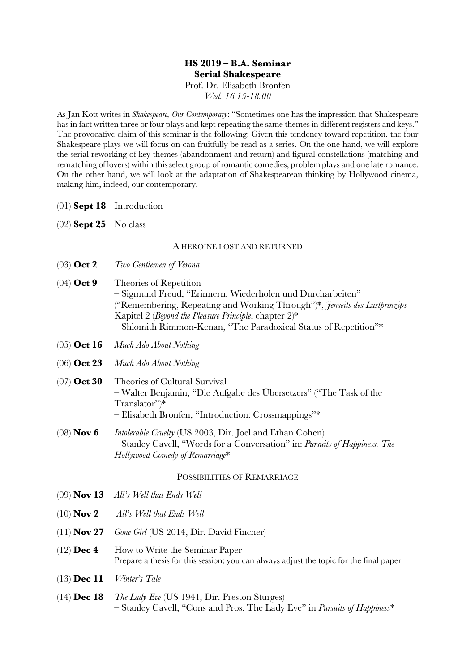## **HS 2019 – B.A. Seminar Serial Shakespeare** Prof. Dr. Elisabeth Bronfen

*Wed. 16.15-18.00*

As Jan Kott writes in *Shakespeare, Our Contemporary*: "Sometimes one has the impression that Shakespeare has in fact written three or four plays and kept repeating the same themes in different registers and keys." The provocative claim of this seminar is the following: Given this tendency toward repetition, the four Shakespeare plays we will focus on can fruitfully be read as a series. On the one hand, we will explore the serial reworking of key themes (abandonment and return) and figural constellations (matching and rematching of lovers) within this select group of romantic comedies, problem plays and one late romance. On the other hand, we will look at the adaptation of Shakespearean thinking by Hollywood cinema, making him, indeed, our contemporary.

- (01) **Sept 18** Introduction
- (02) **Sept 25** No class

### A HEROINE LOST AND RETURNED

- (03) **Oct 2** *Two Gentlemen of Verona*
- (04) **Oct 9** Theories of Repetition – Sigmund Freud, "Erinnern, Wiederholen und Durcharbeiten" ("Remembering, Repeating and Working Through")\*, *Jenseits des Lustprinzips* Kapitel 2 (*Beyond the Pleasure Principle*, chapter 2)\* – Shlomith Rimmon-Kenan, "The Paradoxical Status of Repetition"\*
- (05) **Oct 16** *Much Ado About Nothing*
- (06) **Oct 23** *Much Ado About Nothing*
- (07) **Oct 30** Theories of Cultural Survival – Walter Benjamin, "Die Aufgabe des Übersetzers" ("The Task of the Translator")\* – Elisabeth Bronfen, "Introduction: Crossmappings"\*
- (08) **Nov 6** *Intolerable Cruelty* (US 2003, Dir. Joel and Ethan Cohen) – Stanley Cavell, "Words for a Conversation" in: *Pursuits of Happiness. The Hollywood Comedy of Remarriage*\*

### POSSIBILITIES OF REMARRIAGE

- (09) **Nov 13** *All's Well that Ends Well*
- (10) **Nov 2** *All's Well that Ends Well*
- (11) **Nov 27** *Gone Girl* (US 2014, Dir. David Fincher)
- (12) **Dec 4** How to Write the Seminar Paper Prepare a thesis for this session; you can always adjust the topic for the final paper
- (13) **Dec 11** *Winter's Tale*
- (14) **Dec 18** *The Lady Eve* (US 1941, Dir. Preston Sturges) – Stanley Cavell, "Cons and Pros. The Lady Eve" in *Pursuits of Happiness*\*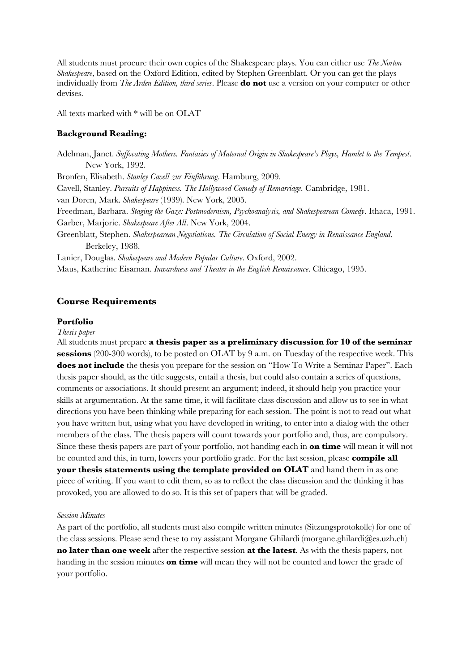All students must procure their own copies of the Shakespeare plays. You can either use *The Norton Shakespeare*, based on the Oxford Edition, edited by Stephen Greenblatt. Or you can get the plays individually from *The Arden Edition, third series*. Please **do not** use a version on your computer or other devises.

All texts marked with \* will be on OLAT

#### **Background Reading:**

Adelman, Janet. *Suffocating Mothers. Fantasies of Maternal Origin in Shakespeare's Plays, Hamlet to the Tempest*. New York, 1992. Bronfen, Elisabeth. *Stanley Cavell zur Einführung*. Hamburg, 2009. Cavell, Stanley. *Pursuits of Happiness. The Hollywood Comedy of Remarriage*. Cambridge, 1981. van Doren, Mark. *Shakespeare* (1939). New York, 2005. Freedman, Barbara. *Staging the Gaze: Postmodernism, Psychoanalysis, and Shakespearean Comedy*. Ithaca, 1991. Garber, Marjorie. *Shakespeare After All*. New York, 2004. Greenblatt, Stephen. *Shakespearean Negotiations. The Circulation of Social Energy in Renaissance England*. Berkeley, 1988. Lanier, Douglas. *Shakespeare and Modern Popular Culture*. Oxford, 2002. Maus, Katherine Eisaman. *Inwardness and Theater in the English Renaissance*. Chicago, 1995.

### **Course Requirements**

#### **Portfolio**

#### *Thesis paper*

All students must prepare **a thesis paper as a preliminary discussion for 10 of the seminar sessions** (200-300 words), to be posted on OLAT by 9 a.m. on Tuesday of the respective week. This **does not include** the thesis you prepare for the session on "How To Write a Seminar Paper". Each thesis paper should, as the title suggests, entail a thesis, but could also contain a series of questions, comments or associations. It should present an argument; indeed, it should help you practice your skills at argumentation. At the same time, it will facilitate class discussion and allow us to see in what directions you have been thinking while preparing for each session. The point is not to read out what you have written but, using what you have developed in writing, to enter into a dialog with the other members of the class. The thesis papers will count towards your portfolio and, thus, are compulsory. Since these thesis papers are part of your portfolio, not handing each in **on time** will mean it will not be counted and this, in turn, lowers your portfolio grade. For the last session, please **compile all your thesis statements using the template provided on OLAT** and hand them in as one piece of writing. If you want to edit them, so as to reflect the class discussion and the thinking it has provoked, you are allowed to do so. It is this set of papers that will be graded.

#### *Session Minutes*

As part of the portfolio, all students must also compile written minutes (Sitzungsprotokolle) for one of the class sessions. Please send these to my assistant Morgane Ghilardi (morgane.ghilardi@es.uzh.ch) **no later than one week** after the respective session **at the latest**. As with the thesis papers, not handing in the session minutes **on time** will mean they will not be counted and lower the grade of your portfolio.